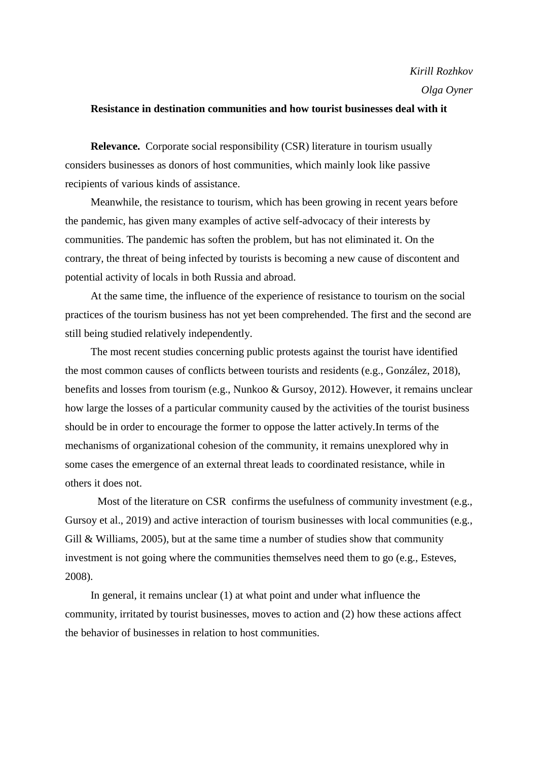## **Resistance in destination communities and how tourist businesses deal with it**

**Relevance.** Corporate social responsibility (CSR) literature in tourism usually considers businesses as donors of host communities, which mainly look like passive recipients of various kinds of assistance.

Meanwhile, the resistance to tourism, which has been growing in recent years before the pandemic, has given many examples of active self-advocacy of their interests by communities. The pandemic has soften the problem, but has not eliminated it. On the contrary, the threat of being infected by tourists is becoming a new cause of discontent and potential activity of locals in both Russia and abroad.

At the same time, the influence of the experience of resistance to tourism on the social practices of the tourism business has not yet been comprehended. The first and the second are still being studied relatively independently.

The most recent studies concerning public protests against the tourist have identified the most common causes of conflicts between tourists and residents (e.g., González, 2018), benefits and losses from tourism (e.g., Nunkoo & Gursoy, 2012). However, it remains unclear how large the losses of a particular community caused by the activities of the tourist business should be in order to encourage the former to oppose the latter actively.In terms of the mechanisms of organizational cohesion of the community, it remains unexplored why in some cases the emergence of an external threat leads to coordinated resistance, while in others it does not.

Most of the literature on CSR confirms the usefulness of community investment (e.g., Gursoy et al., 2019) and active interaction of tourism businesses with local communities (e.g., Gill  $\&$  Williams, 2005), but at the same time a number of studies show that community investment is not going where the communities themselves need them to go (e.g., Esteves, 2008).

In general, it remains unclear (1) at what point and under what influence the community, irritated by tourist businesses, moves to action and (2) how these actions affect the behavior of businesses in relation to host communities.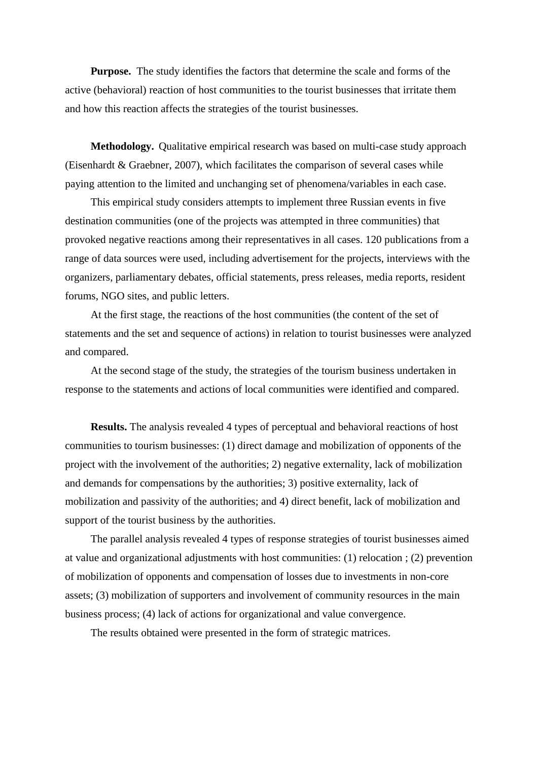**Purpose.** The study identifies the factors that determine the scale and forms of the active (behavioral) reaction of host communities to the tourist businesses that irritate them and how this reaction affects the strategies of the tourist businesses.

**Methodology.** Qualitative empirical research was based on multi-case study approach (Eisenhardt & Graebner, 2007), which facilitates the comparison of several cases while paying attention to the limited and unchanging set of phenomena/variables in each case.

This empirical study considers attempts to implement three Russian events in five destination communities (one of the projects was attempted in three communities) that provoked negative reactions among their representatives in all cases. 120 publications from a range of data sources were used, including advertisement for the projects, interviews with the organizers, parliamentary debates, official statements, press releases, media reports, resident forums, NGO sites, and public letters.

At the first stage, the reactions of the host communities (the content of the set of statements and the set and sequence of actions) in relation to tourist businesses were analyzed and compared.

At the second stage of the study, the strategies of the tourism business undertaken in response to the statements and actions of local communities were identified and compared.

**Results.** The analysis revealed 4 types of perceptual and behavioral reactions of host communities to tourism businesses: (1) direct damage and mobilization of opponents of the project with the involvement of the authorities; 2) negative externality, lack of mobilization and demands for compensations by the authorities; 3) positive externality, lack of mobilization and passivity of the authorities; and 4) direct benefit, lack of mobilization and support of the tourist business by the authorities.

The parallel analysis revealed 4 types of response strategies of tourist businesses aimed at value and organizational adjustments with host communities: (1) relocation ; (2) prevention of mobilization of opponents and compensation of losses due to investments in non-core assets; (3) mobilization of supporters and involvement of community resources in the main business process; (4) lack of actions for organizational and value convergence.

The results obtained were presented in the form of strategic matrices.